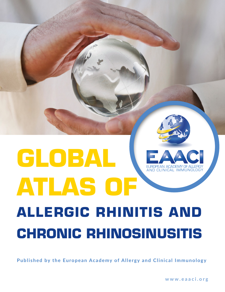## <span id="page-0-1"></span><span id="page-0-0"></span>**GLOBAL**  AND CLINICAL IMMUNO **ATLAS OF ALLERGIC RHINITIS AND CHRONIC RHINOSINUSITIS**

**Published by the European Academy of Allergy and Clinical Immunology**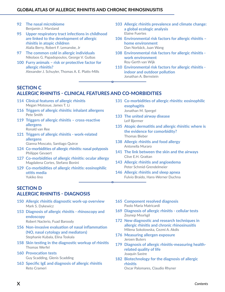- **92 [The nasal microbiome](#page-31-0)** [Benjamin J. Marsland](#page-31-0)
- **95 [Upper respiratory tract infections in childhood](#page-34-0)  [are linked to the development of allergic](#page-34-0)  [rhinitis in atopic children](#page-34-0)** [Alalia Berry](#page-34-0), [Robert F. Lemanske, Jr](#page-34-0)
- **97 [The common cold in allergic individuals](#page-36-0)** [Nikolaos G. Papadopoulos](#page-36-0), [George V. Guibas](#page-36-0)
- **100 [Furry animals risk or protective factor for](#page-39-0)  [allergic rhinitis?](#page-39-0)** [Alexander J. Schuyler, Thomas A. E. Platts-Mills](#page-39-0)
- **103 [Allergic rhinitis prevalence and climate change:](#page-42-0)  [a global ecologic analysis](#page-42-0)** [Elaine Fuertes](#page-42-0)
- **106 [Environmental risk factors for allergic rhinitis](#page-45-0)  [home environment](#page-45-0)** [Dan Norbäck](#page-45-0), [Juan Wang](#page-45-0)
- **108 [Environmental risk factors for allergic rhinitis](#page-47-0)  [work environment](#page-47-0)** [Roy-Gerth van Wijk](#page-47-0)
- **110 [Environmental risk factors for allergic rhinitis](#page-49-0)  [indoor and outdoor pollution](#page-49-0)** Jonathan A. Bernstein

### **[SECTION C](#page-0-0) ALLERGIC RHINITIS - CLINICAL FEATURES AND CO-MORBIDITIES**

- **114 Clinical features of allergic rhinitis** Megan Motosue, James T. Li
- **116 [Triggers of allergic rhinitis: inhalant allergens](#page-3-0)** [Pete Smith](#page-3-0)
- **119 [Triggers of allergic rhinitis cross-reactive](#page-6-0)  [allergens](#page-6-0)** [Ronald van Ree](#page-6-0)
- **121 [Triggers of allergic rhinitis work-related](#page-8-0)  [allergens](#page-8-0)** [Gianna Moscato](#page-8-0), [Santiago Quirce](#page-8-0)
- **124 [Co-morbidities of allergic rhinitis: nasal polyposis](#page-11-0)** [Philippe Gevaert](#page-11-0)
- **127 [Co-morbidities of allergic rhinitis: ocular allergy](#page-14-0)** [Magdalena Cortes, Stefano Bonini](#page-14-0)
- **129 [Co-morbidities of allergic rhinitis: eosinophilic](#page-16-0)  [otitis media](#page-16-0)** [Yukiko Iino](#page-16-0)

#### **[SECTION D](#page-0-1) ALLERGIC RHINITIS - DIAGNOSIS**

- **150 Allergic rhinitis diagnostic work-up overview** Mark S. Dykewicz
- **153 [Diagnosis of allergic rhinitis rhinoscopy and](#page-4-0)  [endoscopy](#page-4-0)** [Robert Naclerio](#page-4-0), [Fuad Baroody](#page-4-0)
- **156 [Non-invasive evaluation of nasal inflammation](#page-7-0)  [\(NO, nasal cytology and mediators\)](#page-7-0)** [Stephanie Kubala, Elina Toskala](#page-7-0)
- **158 [Skin testing in the diagnostic workup of rhinitis](#page-9-0)** [Thomas Werfel](#page-9-0)
- **160 [Provocation tests](#page-11-0)** [Guy Scadding, Glenis Scadding](#page-11-0)
- **163 [Specific IgE and diagnosis of allergic rhinitis](#page-14-0)** [Reto Crameri](#page-14-0)

**133 [The united airway disease](#page-20-0)** [Leif Bjermer](#page-20-0)

**131 [Co-morbidities of allergic rhinitis: eosinophilic](#page-18-0)** 

- **135 [Atopic dermatitis and allergic rhinitis: where is](#page-22-0)  [the evidence for comorbidity?](#page-22-0)** [Thomas Bieber](#page-22-0)
- **138 [Allergic rhinitis and food allergy](#page-25-0)** [Antonella Muraro](#page-25-0)

**[esophagitis](#page-18-0)** [Jonathan M. Spergel](#page-18-0)

- **141 [The link between the skin and the airways](#page-28-0)** [Clive E.H. Grattan](#page-28-0)
- **143 [Allergic rhinitis and angioedema](#page-30-0)** [Peter Schmid-Grendelmeier](#page-30-0)
- **146 [Allergic rhinitis and sleep apnea](#page-33-0)** [Fulvio Braido](#page-33-0), Hans-Werner Duchna
- **165 [Component resolved diagnosis](#page-16-0)** [Paolo Maria Matricardi](#page-16-0)
- **[169](#page-20-0) Diagnosis of allergic rhinitis cellular tests** [Zeynep Mısırlıgil](#page-20-0)
- **172 [New diagnostic and research techniques in](#page-23-0)  [allergic rhinitis and chronic rhinosinusitis](#page-23-0)** [Milena Sokolowska, Cezmi A. Akdis](#page-23-0)
- **176 [Measuring allergen exposure](#page-27-0)** [Jeroen Buters](#page-27-0)
- **179 [Diagnosis of allergic rhinitis-measuring health](#page-30-0)[related quality of life](#page-30-0)** [Joaquín Sastre](#page-30-0)
- **182 [Biotechnology for the diagnosis of allergic](#page-33-0)  [rhinitis](#page-33-0)** [Oscar Palomares,](#page-33-0) Claudio Rhyner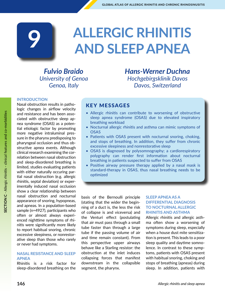# **ALLERGIC RHINITIS 9 AND SLEEP APNEA**

*Fulvio Braido University of Genoa Genoa, Italy*

*Hans-Werner Duchna Hochgebirgsklinik Davos Davos, Switzerland*

#### **INTRODUCTION**

Nasal obstruction results in pathologic changes in airflow velocity and resistance and has been associated with obstructive sleep apnea syndrome (OSAS) as a potential etiologic factor by promoting more negative intraluminal pressure in the pharynx predisposing to pharyngeal occlusion and thus obstructive apnea events. Although clinical research examining the correlation between nasal obstruction and sleep-disordered breathing is limited, studies evaluating patients with either naturally occuring partial nasal obstruction (e.g. allergic rhinitis, septal deviation) or experimentally induced nasal occlusion show a clear relationship between nasal obstruction and nocturnal appearance of snoring, hypopneas, and apneas. In a population-based sample (n=4927), participants who often or almost always experienced nighttime symptoms of rhinitis were significantly more likely to report habitual snoring, chronic excessive sleepiness, or nonrestorative sleep than those who rarely or never had symptoms.

#### **NASAL RESISTANCE AND SLEEP APNEA**

Rhinitis is a risk factor for sleep-disordered breathing on the

#### KEY MESSAGES

- Allergic rhinitis can contribute to worsening of obstructive sleep apnea syndrome (OSAS) due to elevated inspiratory breathing workload
- Nocturnal allergic rhinitis and asthma can mimic symptoms of OSAS
- Patients with OSAS present with nocturnal snoring, choking, and stops of breathing. In addition, they suffer from chronic excessive sleepiness and nonrestorative sleep
- OSAS is diagnosed by polysomnography; a cardiorespiratory polygraphy can render first information about nocturnal breathing in patients suspected to suffer from OSAS
- Positive airway pressure therapy applied by a nasal mask is standard-therapy in OSAS, thus nasal breathing needs to be optimized

basis of the Bernoulli principle (stating that the wider the beginning of a duct is, the less the risk of collapse is and viceversa) and the Venturi effect (postulating that air must pass through a small tube faster than through a large tube if the passing volume of air and time remain constant). From this perspective upper airways behave like a Starling resistor: the obstruction at the inlet induces collapsing forces that manifest downstream in the collapsible segment, the pharynx.

#### **SLEEP APNEA AS A DIFFERENTIAL DIAGNOSIS TO NOCTURNAL ALLERGIC RHINITIS AND ASTHMA**

Allergic rhinitis and allergic asthma often show a worsening of symptoms during sleep, especially when a house dust mite sensitization is present. This leads to a poor sleep quality and daytime somnolence. In contrast to these symptoms, patients with OSAS present with habitual snoring, choking and stops of breathing (apneas) during sleep. In addition, patients with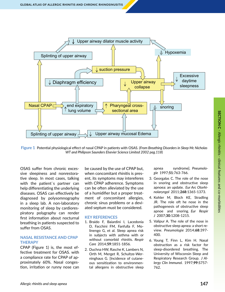<span id="page-3-0"></span>

**Figure 1** Potential physiological effect of nasal CPAP in patients with OSAS. (*From Breathing Disorders in Sleep Mc Nicholas WT and Philipson Saunders Elsevier Science Limited 2002 pag.118*)

OSAS suffer from chronic excessive sleepiness and nonrestorative sleep. In most cases, talking with the patient`s partner can help differentiating the underlying diseases. OSAS can effectively be diagnosed by polysomnography in a sleep lab. A non-laboratory monitoring of sleep by cardiorespiratory polygraphy can render first information about nocturnal breathing in patients suspected to suffer from OSAS.

#### **NASAL RESISTANCE AND CPAP THERAPY**

CPAP (Figure 1) is, the most effective treatment for OSAS. with a compliance rate for CPAP of approximately 60%. Nasal congestion, irritation or runny nose can be caused by the use of CPAP but, when concomitant rhinitis is present, its symptoms may intereferes with CPAP adherence. Symptoms can be often alleviated by the use of a humidifier but a proper treatment of concomitant allergies, chronic sinus problems or a deviated septum must be considered.

#### **KEY REFERENCES**

- 1. Braido F, Baiardini I, Lacedonia D, Facchini FM, Fanfulla F, Molinengo G, et al. Sleep apnea risk in subjects with asthma with or without comorbid rhinitis. *Respir Care* 2014;**59**:1851-1856.
- 2. Duchna HW, Rasche K, Lambers N, Orth M, Merget R, Schultze-Werninghaus G. [Incidence of cutaneous sensitization to environmental allergens in obstructive sleep

apnea syndrome]. *Pneumologie* 1997;**51**:763-766.

- 3. Georgalas C. The role of the nose in snoring and obstructive sleep apnoea: an update. *Eur Arc Otorhinolaryngol* 2011;**268**:1365-1373.
- 4. Kohler M, Bloch KE, Stradling JR. The role oft he nose in the pathogenesis of obstructive sleep apnoe and snoring. *Eur Respir J* 2007;**30**:1208-1215.
- 5. Valipur A. The role of the nose in obstructive sleep apnea: a short review. *Pneumologie* 2014;**68**:397- 400.
- 6. Young T, Finn L, Kim H. Nasal obstruction as a risk factor for sleep-disordered breathing. The University of Wisconsin Sleep and Respiratory Research Group. *J Allergy Clin Immunol.* 1997;**99**:S757- 762.